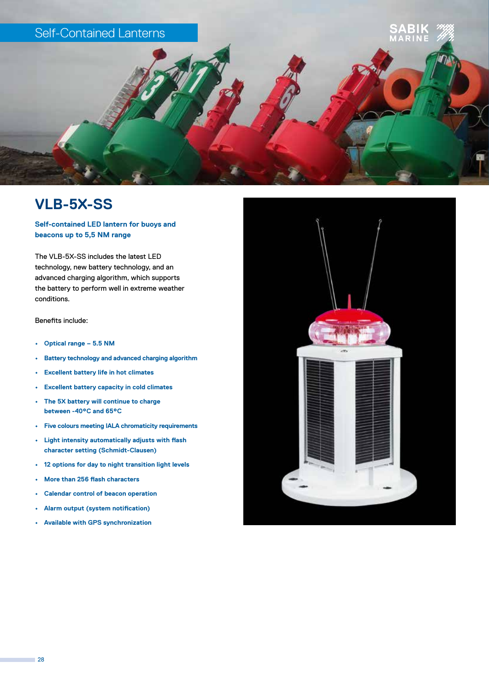

## **VLB-5X-SS**

**Self-contained LED lantern for buoys and beacons up to 5,5 NM range**

The VLB-5X-SS includes the latest LED technology, new battery technology, and an advanced charging algorithm, which supports the battery to perform well in extreme weather conditions.

Benefits include:

- **• Optical range 5.5 NM**
- **• Battery technology and advanced charging algorithm**
- **• Excellent battery life in hot climates**
- **• Excellent battery capacity in cold climates**
- **• The 5X battery will continue to charge between -40°C and 65°C**
- **• Five colours meeting IALA chromaticity requirements**
- **• Light intensity automatically adjusts with flash character setting (Schmidt-Clausen)**
- **• 12 options for day to night transition light levels**
- **• More than 256 flash characters**
- **• Calendar control of beacon operation**
- **• Alarm output (system notification)**
- **• Available with GPS synchronization**